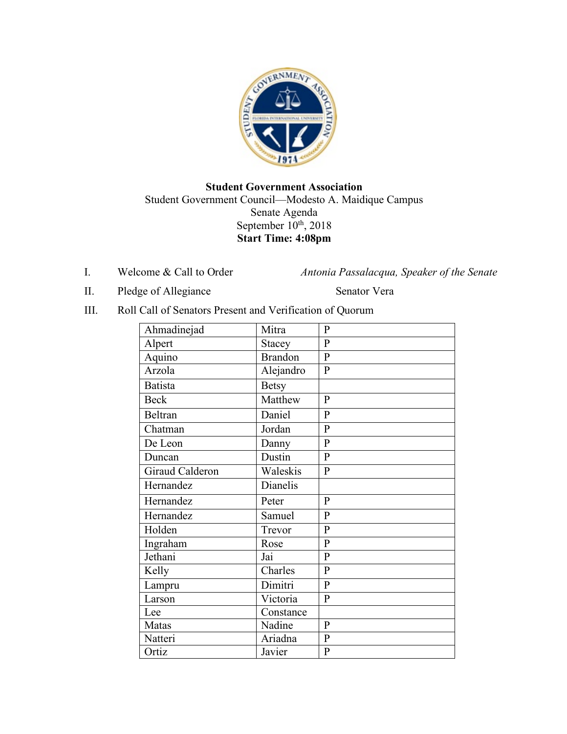

### **Student Government Association** Student Government Council—Modesto A. Maidique Campus Senate Agenda September  $10^{th}$ , 2018 **Start Time: 4:08pm**

I. Welcome & Call to Order *Antonia Passalacqua, Speaker of the Senate* 

II. Pledge of Allegiance Senator Vera

III. Roll Call of Senators Present and Verification of Quorum

| Ahmadinejad     | Mitra          | $\mathbf{P}$   |
|-----------------|----------------|----------------|
| Alpert          | <b>Stacey</b>  | $\mathbf{P}$   |
| Aquino          | <b>Brandon</b> | $\overline{P}$ |
| Arzola          | Alejandro      | $\mathbf{P}$   |
| <b>Batista</b>  | <b>Betsy</b>   |                |
| <b>Beck</b>     | Matthew        | $\mathbf{P}$   |
| <b>Beltran</b>  | Daniel         | $\mathbf{P}$   |
| Chatman         | Jordan         | $\overline{P}$ |
| De Leon         | Danny          | $\mathbf{P}$   |
| Duncan          | Dustin         | $\overline{P}$ |
| Giraud Calderon | Waleskis       | $\mathbf{P}$   |
| Hernandez       | Dianelis       |                |
| Hernandez       | Peter          | $\mathbf{P}$   |
| Hernandez       | Samuel         | $\mathbf{P}$   |
| Holden          | Trevor         | $\overline{P}$ |
| Ingraham        | Rose           | $\mathbf{P}$   |
| Jethani         | Jai            | $\mathbf{P}$   |
| Kelly           | Charles        | $\mathbf{P}$   |
| Lampru          | Dimitri        | $\overline{P}$ |
| Larson          | Victoria       | $\mathbf{P}$   |
| Lee             | Constance      |                |
| Matas           | Nadine         | $\mathbf{P}$   |
| Natteri         | Ariadna        | $\mathbf{P}$   |
| Ortiz           | Javier         | $\mathbf{P}$   |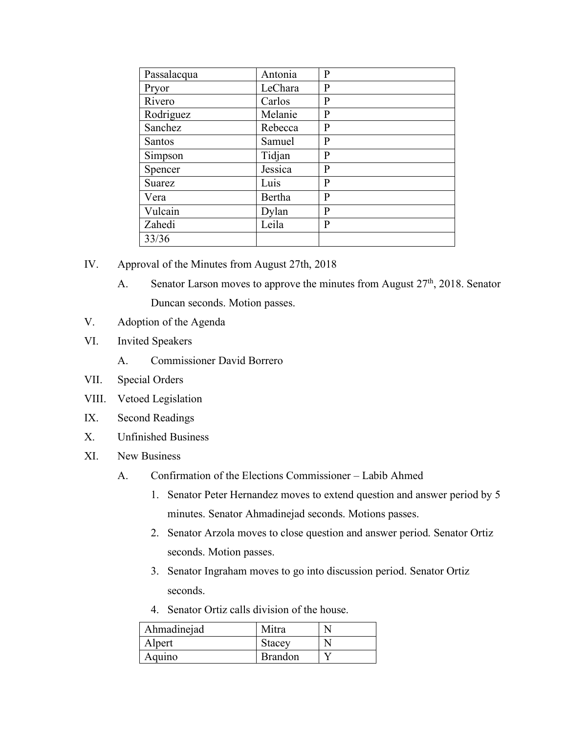| Passalacqua   | Antonia | P            |
|---------------|---------|--------------|
| Pryor         | LeChara | P            |
| Rivero        | Carlos  | P            |
| Rodriguez     | Melanie | $\bf P$      |
| Sanchez       | Rebecca | P            |
| <b>Santos</b> | Samuel  | P            |
| Simpson       | Tidjan  | $\bf P$      |
| Spencer       | Jessica | P            |
| Suarez        | Luis    | P            |
| Vera          | Bertha  | P            |
| Vulcain       | Dylan   | P            |
| Zahedi        | Leila   | $\mathbf{P}$ |
| 33/36         |         |              |

- IV. Approval of the Minutes from August 27th, 2018
	- A. Senator Larson moves to approve the minutes from August  $27<sup>th</sup>$ , 2018. Senator Duncan seconds. Motion passes.
- V. Adoption of the Agenda
- VI. Invited Speakers
	- A. Commissioner David Borrero
- VII. Special Orders
- VIII. Vetoed Legislation
- IX. Second Readings
- X. Unfinished Business
- XI. New Business
	- A. Confirmation of the Elections Commissioner Labib Ahmed
		- 1. Senator Peter Hernandez moves to extend question and answer period by 5 minutes. Senator Ahmadinejad seconds. Motions passes.
		- 2. Senator Arzola moves to close question and answer period. Senator Ortiz seconds. Motion passes.
		- 3. Senator Ingraham moves to go into discussion period. Senator Ortiz seconds.
		- 4. Senator Ortiz calls division of the house.

| Ahmadinejad | Mitra          |  |
|-------------|----------------|--|
| Alpert      | Stacey         |  |
| Aquino      | <b>Brandon</b> |  |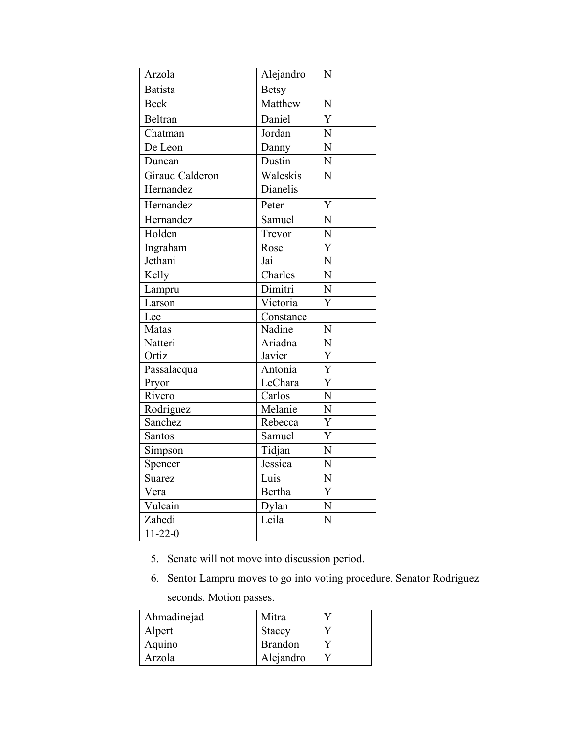| Arzola                  | Alejandro     | N                     |
|-------------------------|---------------|-----------------------|
| <b>Batista</b>          | <b>Betsy</b>  |                       |
| <b>Beck</b>             | Matthew       | N                     |
| Beltran                 | Daniel        | $\overline{Y}$        |
| Chatman                 | Jordan        | N                     |
| De Leon                 | Danny         | $\overline{N}$        |
| Duncan                  | Dustin        | $\overline{N}$        |
| Giraud Calderon         | Waleskis      | $\overline{N}$        |
| $\overline{H}$ ernandez | Dianelis      |                       |
| Hernandez               | Peter         | Y                     |
| Hernandez               | Samuel        | N                     |
| Holden                  | Trevor        | $\overline{N}$        |
| Ingraham                | Rose          | $\overline{Y}$        |
| Jethani                 | Jai           | $\overline{N}$        |
| Kelly                   | Charles       | $\overline{N}$        |
| Lampru                  | Dimitri       | $\overline{N}$        |
| Larson                  | Victoria      | Y                     |
| Lee                     | Constance     |                       |
| Matas                   | Nadine        | N                     |
| Natteri                 | Ariadna       | $\overline{N}$        |
| Ortiz                   | Javier        | $\overline{Y}$        |
| Passalacqua             | Antonia       | $\overline{Y}$        |
| Pryor                   | LeChara       | $\overline{\text{Y}}$ |
| Rivero                  | Carlos        | $\overline{\text{N}}$ |
| Rodriguez               | Melanie       | $\overline{\text{N}}$ |
| Sanchez                 | Rebecca       | $\overline{\text{Y}}$ |
| Santos                  | Samuel        | $\overline{\text{Y}}$ |
| Simpson                 | Tidjan        | $\overline{N}$        |
| Spencer                 | Jessica       | $\overline{N}$        |
| Suarez                  | Luis          | $\overline{N}$        |
| Vera                    | <b>Bertha</b> | $\overline{Y}$        |
| Vulcain                 | Dylan         | N                     |
| Zahedi                  | Leila         | N                     |
| $11 - 22 - 0$           |               |                       |

- 5. Senate will not move into discussion period.
- 6. Sentor Lampru moves to go into voting procedure. Senator Rodriguez

seconds. Motion passes.

| Ahmadinejad | Mitra          |  |
|-------------|----------------|--|
| Alpert      | <b>Stacey</b>  |  |
| Aquino      | <b>Brandon</b> |  |
| Arzola      | Alejandro      |  |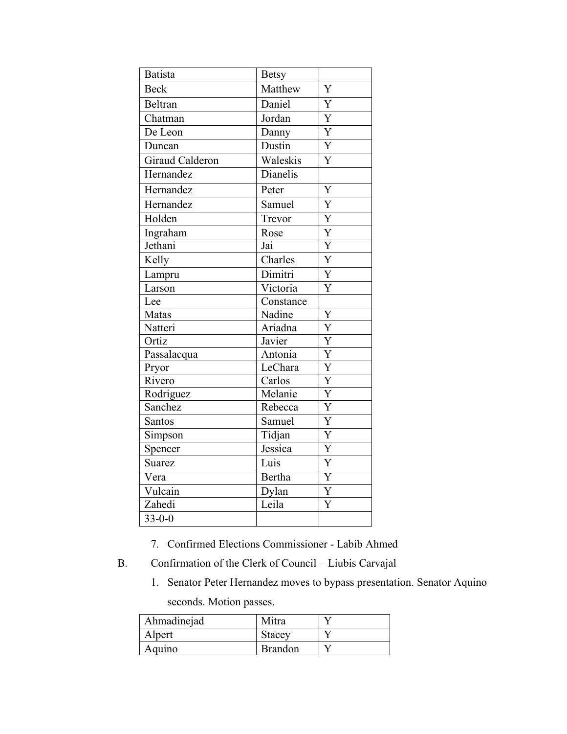| <b>Batista</b>          | <b>Betsy</b> |                         |
|-------------------------|--------------|-------------------------|
| <b>Beck</b>             | Matthew      | Y                       |
| Beltran                 | Daniel       | Y                       |
| Chatman                 | Jordan       | Y                       |
| De Leon                 | Danny        | $\overline{\text{Y}}$   |
| Duncan                  | Dustin       | $\overline{Y}$          |
| Giraud Calderon         | Waleskis     | $\overline{\text{Y}}$   |
| Hernandez               | Dianelis     |                         |
| Hernandez               | Peter        | Y                       |
| Hernandez               | Samuel       | $\overline{Y}$          |
| Holden                  | Trevor       | Y                       |
| Ingraham                | Rose         | $\overline{Y}$          |
| Jethani                 | Jai          | $\overline{Y}$          |
| Kelly                   | Charles      | $\overline{Y}$          |
| Lampru                  | Dimitri      | $\overline{Y}$          |
| Larson                  | Victoria     | $\overline{\text{Y}}$   |
| Lee                     | Constance    |                         |
| Matas                   | Nadine       | Y                       |
| Natteri                 | Ariadna      | $\overline{\mathrm{Y}}$ |
| Ortiz                   | Javier       | $\overline{Y}$          |
| Passalacqua             | Antonia      | $\overline{Y}$          |
| Pryor                   | LeChara      | Y                       |
| Rivero                  | Carlos       | $\overline{Y}$          |
| Rodriguez               | Melanie      | Y                       |
| Sanchez                 | Rebecca      | $\overline{\text{Y}}$   |
| Santos                  | Samuel       | $\overline{Y}$          |
| Simpson                 | Tidjan       | $\overline{Y}$          |
| Spencer                 | Jessica      | $\overline{Y}$          |
| Suarez                  | Luis         | $\overline{Y}$          |
| Vera                    | Bertha       | Y                       |
| Vulcain                 | Dylan        | Y                       |
| Zahedi                  | Leila        | $\overline{\text{Y}}$   |
| $\overline{33} - 0 - 0$ |              |                         |

- 7. Confirmed Elections Commissioner Labib Ahmed
- B. Confirmation of the Clerk of Council Liubis Carvajal
	- 1. Senator Peter Hernandez moves to bypass presentation. Senator Aquino seconds. Motion passes.

| Ahmadinejad | Mitra          |  |
|-------------|----------------|--|
| Alpert      | Stacey         |  |
| Aquino      | <b>Brandon</b> |  |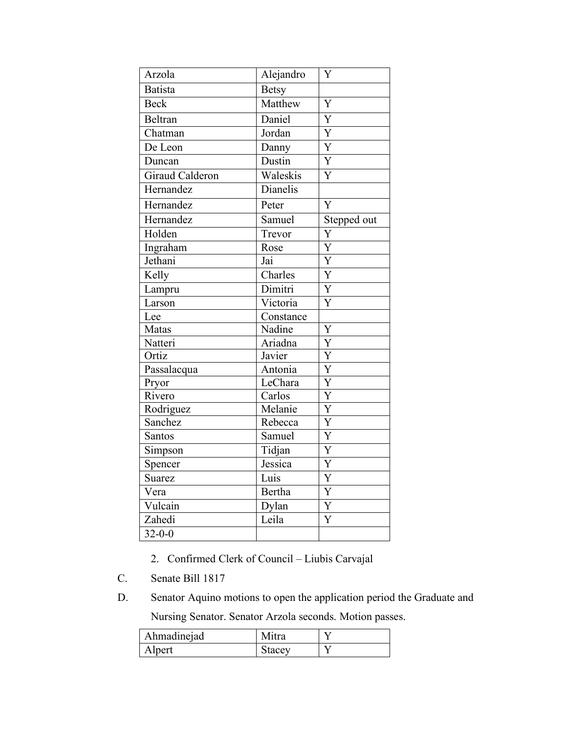| Arzola          | Alejandro     | Y                         |
|-----------------|---------------|---------------------------|
| <b>Batista</b>  | <b>Betsy</b>  |                           |
| <b>Beck</b>     | Matthew       | Y                         |
| Beltran         | Daniel        | $\overline{\text{Y}}$     |
| Chatman         | Jordan        | $\overline{Y}$            |
| De Leon         | Danny         | $\overline{Y}$            |
| Duncan          | Dustin        | Y                         |
| Giraud Calderon | Waleskis      | $\overline{\text{Y}}$     |
| Hernandez       | Dianelis      |                           |
| Hernandez       | Peter         | Y                         |
| Hernandez       | Samuel        | Stepped out               |
| Holden          | Trevor        | Y                         |
| Ingraham        | Rose          | $\overline{\text{Y}}$     |
| Jethani         | Jai           | $\overline{\text{Y}}$     |
| Kelly           | Charles       | $\overline{\overline{Y}}$ |
| Lampru          | Dimitri       | $\overline{Y}$            |
| Larson          | Victoria      | Ý                         |
| Lee             | Constance     |                           |
| Matas           | Nadine        | Y                         |
| Natteri         | Ariadna       | $\overline{Y}$            |
| Ortiz           | Javier        | $\overline{\text{Y}}$     |
| Passalacqua     | Antonia       | $\overline{\text{Y}}$     |
| Pryor           | LeChara       | $\overline{\text{Y}}$     |
| Rivero          | Carlos        | $\overline{\text{Y}}$     |
| Rodriguez       | Melanie       | $\overline{Y}$            |
| Sanchez         | Rebecca       | $\overline{Y}$            |
| Santos          | Samuel        | $\overline{Y}$            |
| Simpson         | Tidjan        | $\overline{\text{Y}}$     |
| Spencer         | Jessica       | $\overline{\text{Y}}$     |
| <b>Suarez</b>   | Luis          | Y                         |
| Vera            | <b>Bertha</b> | $\overline{Y}$            |
| Vulcain         | Dylan         | Y                         |
| Zahedi          | Leila         | $\overline{\text{Y}}$     |
| $32 - 0 - 0$    |               |                           |

- 2. Confirmed Clerk of Council Liubis Carvajal
- C. Senate Bill 1817
- D. Senator Aquino motions to open the application period the Graduate and Nursing Senator. Senator Arzola seconds. Motion passes.

| Ahmadinejad | Mitra  |  |
|-------------|--------|--|
| Alpert      | Stacey |  |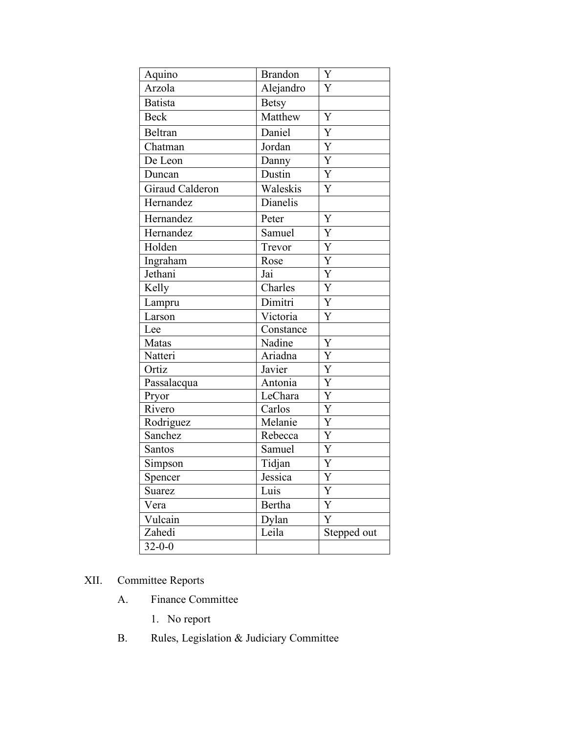| Aquino          | <b>Brandon</b> | Y                       |
|-----------------|----------------|-------------------------|
| Arzola          | Alejandro      | Y                       |
| <b>Batista</b>  | <b>Betsy</b>   |                         |
| <b>Beck</b>     | Matthew        | Y                       |
| Beltran         | Daniel         | Y                       |
| Chatman         | Jordan         | $\overline{Y}$          |
| De Leon         | Danny          | Y                       |
| Duncan          | Dustin         | $\overline{Y}$          |
| Giraud Calderon | Waleskis       | Y                       |
| Hernandez       | Dianelis       |                         |
| Hernandez       | Peter          | Y                       |
| Hernandez       | Samuel         | Y                       |
| Holden          | Trevor         | $\overline{Y}$          |
| Ingraham        | Rose           | $\overline{Y}$          |
| Jethani         | Jai            | $\overline{Y}$          |
| Kelly           | Charles        | $\overline{Y}$          |
| Lampru          | Dimitri        | $\overline{Y}$          |
| Larson          | Victoria       | Y                       |
| Lee             | Constance      |                         |
| Matas           | Nadine         | Y                       |
| Natteri         | Ariadna        | $\overline{Y}$          |
| Ortiz           | Javier         | $\overline{\mathrm{Y}}$ |
| Passalacqua     | Antonia        | Y                       |
| Pryor           | LeChara        | $\overline{\text{Y}}$   |
| Rivero          | Carlos         | $\overline{Y}$          |
| Rodriguez       | Melanie        | $\overline{Y}$          |
| Sanchez         | Rebecca        | Y                       |
| Santos          | Samuel         | $\mathbf Y$             |
| Simpson         | Tidjan         | Y                       |
| Spencer         | Jessica        | Y                       |
| Suarez          | Luis           | Y                       |
| Vera            | Bertha         | Y                       |
| Vulcain         | Dylan          | Y                       |
| Zahedi          | Leila          | Stepped out             |
| $32 - 0 - 0$    |                |                         |

# XII. Committee Reports

- A. Finance Committee
	- 1. No report
- B. Rules, Legislation & Judiciary Committee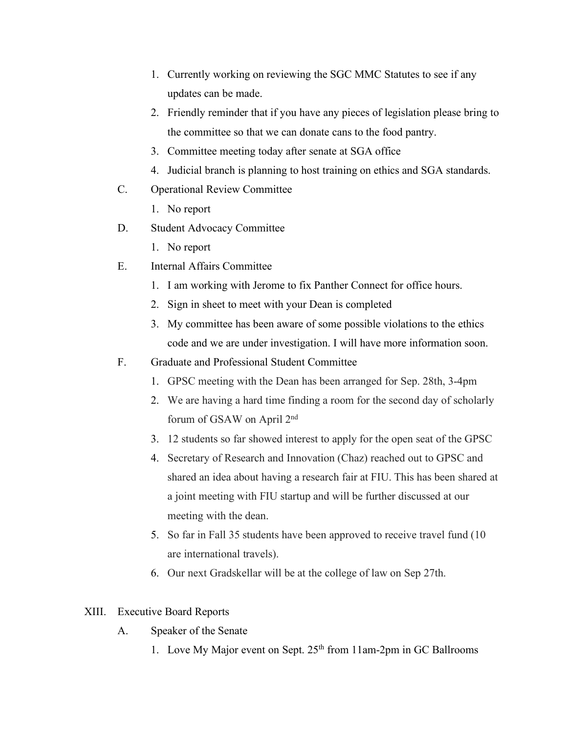- 1. Currently working on reviewing the SGC MMC Statutes to see if any updates can be made.
- 2. Friendly reminder that if you have any pieces of legislation please bring to the committee so that we can donate cans to the food pantry.
- 3. Committee meeting today after senate at SGA office
- 4. Judicial branch is planning to host training on ethics and SGA standards.
- C. Operational Review Committee
	- 1. No report
- D. Student Advocacy Committee
	- 1. No report
- E. Internal Affairs Committee
	- 1. I am working with Jerome to fix Panther Connect for office hours.
	- 2. Sign in sheet to meet with your Dean is completed
	- 3. My committee has been aware of some possible violations to the ethics code and we are under investigation. I will have more information soon.
- F. Graduate and Professional Student Committee
	- 1. GPSC meeting with the Dean has been arranged for Sep. 28th, 3-4pm
	- 2. We are having a hard time finding a room for the second day of scholarly forum of GSAW on April 2nd
	- 3. 12 students so far showed interest to apply for the open seat of the GPSC
	- 4. Secretary of Research and Innovation (Chaz) reached out to GPSC and shared an idea about having a research fair at FIU. This has been shared at a joint meeting with FIU startup and will be further discussed at our meeting with the dean.
	- 5. So far in Fall 35 students have been approved to receive travel fund (10 are international travels).
	- 6. Our next Gradskellar will be at the college of law on Sep 27th.

#### XIII. Executive Board Reports

- A. Speaker of the Senate
	- 1. Love My Major event on Sept. 25<sup>th</sup> from 11am-2pm in GC Ballrooms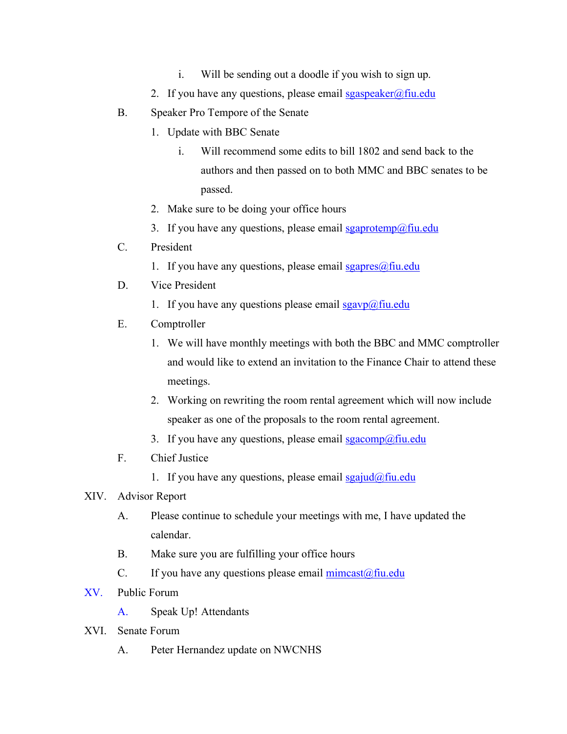- i. Will be sending out a doodle if you wish to sign up.
- 2. If you have any questions, please email sgaspeaker@fiu.edu
- B. Speaker Pro Tempore of the Senate
	- 1. Update with BBC Senate
		- i. Will recommend some edits to bill 1802 and send back to the authors and then passed on to both MMC and BBC senates to be passed.
	- 2. Make sure to be doing your office hours
	- 3. If you have any questions, please email  $sgaprotemp@final$
- C. President
	- 1. If you have any questions, please email  $sgapres(\omega f\text{in.edu})$
- D. Vice President
	- 1. If you have any questions please email  $sgavp(a)$  fiu.edu
- E. Comptroller
	- 1. We will have monthly meetings with both the BBC and MMC comptroller and would like to extend an invitation to the Finance Chair to attend these meetings.
	- 2. Working on rewriting the room rental agreement which will now include speaker as one of the proposals to the room rental agreement.
	- 3. If you have any questions, please email  $sgacomp(\hat{a})$ fiu.edu
- F. Chief Justice
	- 1. If you have any questions, please email  $spajud@fin.edu$ </u>

### XIV. Advisor Report

- A. Please continue to schedule your meetings with me, I have updated the calendar.
- B. Make sure you are fulfilling your office hours
- C. If you have any questions please email  $\frac{\text{mincast}(\partial f\text{in.edu})}{\text{mincast}(\partial f\text{in.edu})}$
- XV. Public Forum
	- A. Speak Up! Attendants
- XVI. Senate Forum
	- A. Peter Hernandez update on NWCNHS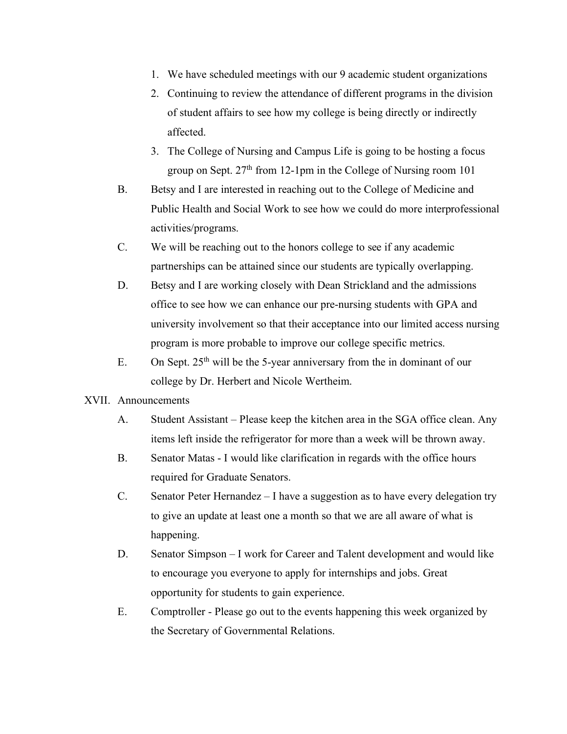- 1. We have scheduled meetings with our 9 academic student organizations
- 2. Continuing to review the attendance of different programs in the division of student affairs to see how my college is being directly or indirectly affected.
- 3. The College of Nursing and Campus Life is going to be hosting a focus group on Sept.  $27<sup>th</sup>$  from 12-1pm in the College of Nursing room 101
- B. Betsy and I are interested in reaching out to the College of Medicine and Public Health and Social Work to see how we could do more interprofessional activities/programs.
- C. We will be reaching out to the honors college to see if any academic partnerships can be attained since our students are typically overlapping.
- D. Betsy and I are working closely with Dean Strickland and the admissions office to see how we can enhance our pre-nursing students with GPA and university involvement so that their acceptance into our limited access nursing program is more probable to improve our college specific metrics.
- E. On Sept.  $25<sup>th</sup>$  will be the 5-year anniversary from the in dominant of our college by Dr. Herbert and Nicole Wertheim.

#### XVII. Announcements

- A. Student Assistant Please keep the kitchen area in the SGA office clean. Any items left inside the refrigerator for more than a week will be thrown away.
- B. Senator Matas I would like clarification in regards with the office hours required for Graduate Senators.
- C. Senator Peter Hernandez I have a suggestion as to have every delegation try to give an update at least one a month so that we are all aware of what is happening.
- D. Senator Simpson I work for Career and Talent development and would like to encourage you everyone to apply for internships and jobs. Great opportunity for students to gain experience.
- E. Comptroller Please go out to the events happening this week organized by the Secretary of Governmental Relations.